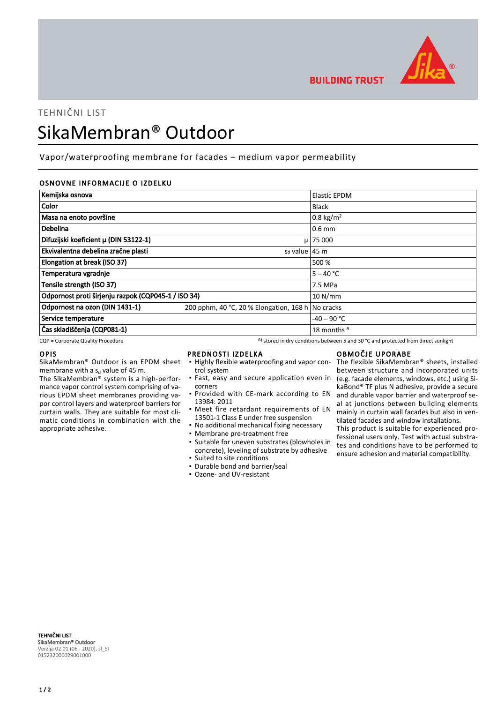

TEHNIČNI LIST SikaMembran® Outdoor

Vapor/waterproofing membrane for facades – medium vapor permeability

## OSNOVNE INFORMACIJE O IZDELKU

| Kemijska osnova                                     |                                                   | <b>Elastic EPDM</b>  |
|-----------------------------------------------------|---------------------------------------------------|----------------------|
| Color                                               |                                                   | <b>Black</b>         |
| Masa na enoto površine                              |                                                   | $0.8 \text{ kg/m}^2$ |
| Debelina                                            |                                                   | $0.6$ mm             |
| Difuzijski koeficient µ (DIN 53122-1)               |                                                   | $\mu$ 75 000         |
| Ekvivalentna debelina zračne plasti                 | $sd$ value 45 m                                   |                      |
| Elongation at break (ISO 37)                        |                                                   | 500 %                |
| Temperatura vgradnje                                |                                                   | $5 - 40 °C$          |
| Tensile strength (ISO 37)                           |                                                   | 7.5 MPa              |
| Odpornost proti širjenju razpok (CQP045-1 / ISO 34) |                                                   | 10 N/mm              |
| Odpornost na ozon (DIN 1431-1)                      | 200 pphm, 40 °C, 20 % Elongation, 168 h No cracks |                      |
| Service temperature                                 |                                                   | $-40 - 90$ °C        |
| Čas skladiščenja (CQP081-1)                         |                                                   | 18 months A          |

 $CQP$  = Corporate Quality Procedure  $A)$  stored in dry conditions between 5 and 30 °C and protected from direct sunlight

#### OPIS

SikaMembran® Outdoor is an EPDM sheet membrane with a s<sub>d</sub> value of 45 m.

The SikaMembran® system is a high-performance vapor control system comprising of various EPDM sheet membranes providing vapor control layers and waterproof barriers for curtain walls. They are suitable for most climatic conditions in combination with the appropriate adhesive.

#### PREDNOSTI IZDELKA

- **.** Highly flexible waterproofing and vapor control system
- **·** Fast, easy and secure application even in corners
- **Provided with CE-mark according to EN** 13984: 2011
- **•** Meet fire retardant requirements of EN 13501-1 Class E under free suspension
- No additional mechanical fixing necessary
- Membrane pre-treatment free
- Suitable for uneven substrates (blowholes in concrete), leveling of substrate by adhesive
- Suited to site conditions
- Durable bond and barrier/seal ▪ Ozone- and UV-resistant

# OBMOČJE UPORABE

**BUILDING TRUST** 

The flexible SikaMembran® sheets, installed between structure and incorporated units (e.g. facade elements, windows, etc.) using SikaBond® TF plus N adhesive, provide a secure and durable vapor barrier and waterproof seal at junctions between building elements mainly in curtain wall facades but also in ventilated facades and window installations.

This product is suitable for experienced professional users only. Test with actual substrates and conditions have to be performed to ensure adhesion and material compatibility.

TEHNIČNI LIST SikaMembran® Outdoor Verzija 02.01 (06 - 2020), sl\_SI 015232000029001000